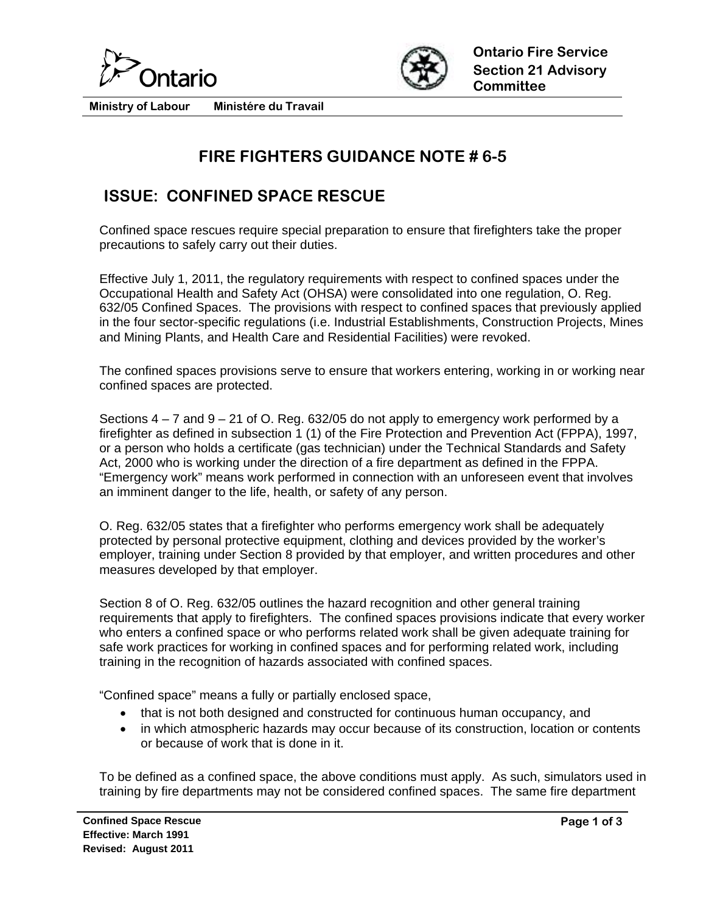



**Ministry of Labour Ministére du Travail** 

## **FIRE FIGHTERS GUIDANCE NOTE # 6-5**

## **ISSUE: CONFINED SPACE RESCUE**

Confined space rescues require special preparation to ensure that firefighters take the proper precautions to safely carry out their duties.

Effective July 1, 2011, the regulatory requirements with respect to confined spaces under the Occupational Health and Safety Act (OHSA) were consolidated into one regulation, O. Reg. 632/05 Confined Spaces. The provisions with respect to confined spaces that previously applied in the four sector-specific regulations (i.e. Industrial Establishments, Construction Projects, Mines and Mining Plants, and Health Care and Residential Facilities) were revoked.

The confined spaces provisions serve to ensure that workers entering, working in or working near confined spaces are protected.

Sections  $4 - 7$  and  $9 - 21$  of O. Reg. 632/05 do not apply to emergency work performed by a firefighter as defined in subsection 1 (1) of the Fire Protection and Prevention Act (FPPA), 1997, or a person who holds a certificate (gas technician) under the Technical Standards and Safety Act, 2000 who is working under the direction of a fire department as defined in the FPPA. "Emergency work" means work performed in connection with an unforeseen event that involves an imminent danger to the life, health, or safety of any person.

O. Reg. 632/05 states that a firefighter who performs emergency work shall be adequately protected by personal protective equipment, clothing and devices provided by the worker's employer, training under Section 8 provided by that employer, and written procedures and other measures developed by that employer.

Section 8 of O. Reg. 632/05 outlines the hazard recognition and other general training requirements that apply to firefighters. The confined spaces provisions indicate that every worker who enters a confined space or who performs related work shall be given adequate training for safe work practices for working in confined spaces and for performing related work, including training in the recognition of hazards associated with confined spaces.

"Confined space" means a fully or partially enclosed space,

- that is not both designed and constructed for continuous human occupancy, and
- in which atmospheric hazards may occur because of its construction, location or contents or because of work that is done in it.

To be defined as a confined space, the above conditions must apply. As such, simulators used in training by fire departments may not be considered confined spaces. The same fire department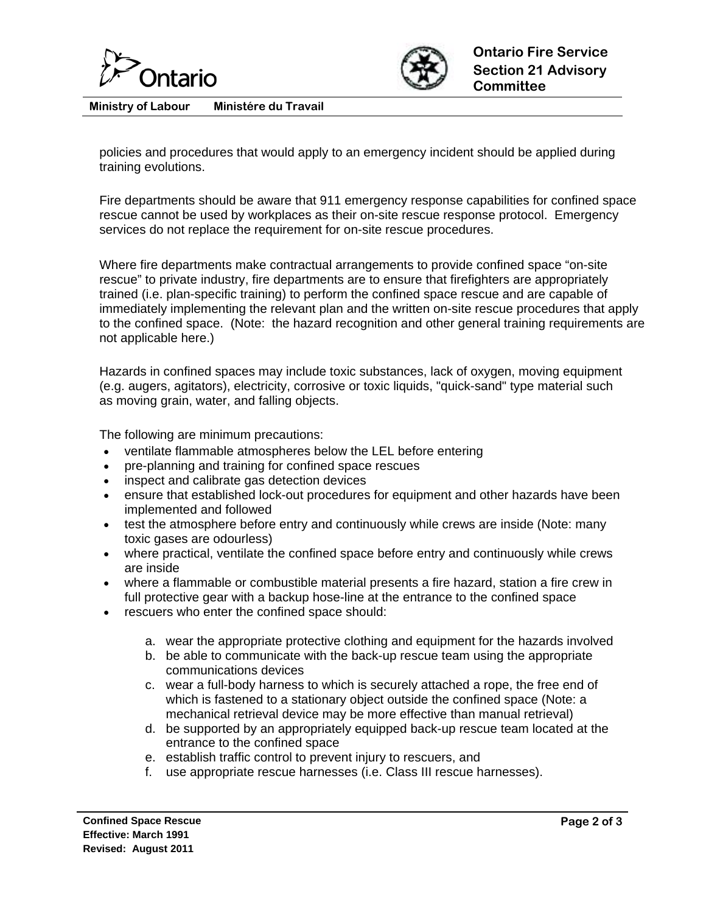



**Ministry of Labour Ministére du Travail** 

policies and procedures that would apply to an emergency incident should be applied during training evolutions.

Fire departments should be aware that 911 emergency response capabilities for confined space rescue cannot be used by workplaces as their on-site rescue response protocol. Emergency services do not replace the requirement for on-site rescue procedures.

Where fire departments make contractual arrangements to provide confined space "on-site rescue" to private industry, fire departments are to ensure that firefighters are appropriately trained (i.e. plan-specific training) to perform the confined space rescue and are capable of immediately implementing the relevant plan and the written on-site rescue procedures that apply to the confined space. (Note: the hazard recognition and other general training requirements are not applicable here.)

Hazards in confined spaces may include toxic substances, lack of oxygen, moving equipment (e.g. augers, agitators), electricity, corrosive or toxic liquids, "quick-sand" type material such as moving grain, water, and falling objects.

The following are minimum precautions:

- ventilate flammable atmospheres below the LEL before entering
- pre-planning and training for confined space rescues
- inspect and calibrate gas detection devices
- ensure that established lock-out procedures for equipment and other hazards have been implemented and followed
- test the atmosphere before entry and continuously while crews are inside (Note: many toxic gases are odourless)
- where practical, ventilate the confined space before entry and continuously while crews are inside
- where a flammable or combustible material presents a fire hazard, station a fire crew in full protective gear with a backup hose-line at the entrance to the confined space
- rescuers who enter the confined space should:
	- a. wear the appropriate protective clothing and equipment for the hazards involved
	- b. be able to communicate with the back-up rescue team using the appropriate communications devices
	- c. wear a full-body harness to which is securely attached a rope, the free end of which is fastened to a stationary object outside the confined space (Note: a mechanical retrieval device may be more effective than manual retrieval)
	- d. be supported by an appropriately equipped back-up rescue team located at the entrance to the confined space
	- e. establish traffic control to prevent injury to rescuers, and
	- f. use appropriate rescue harnesses (i.e. Class III rescue harnesses).